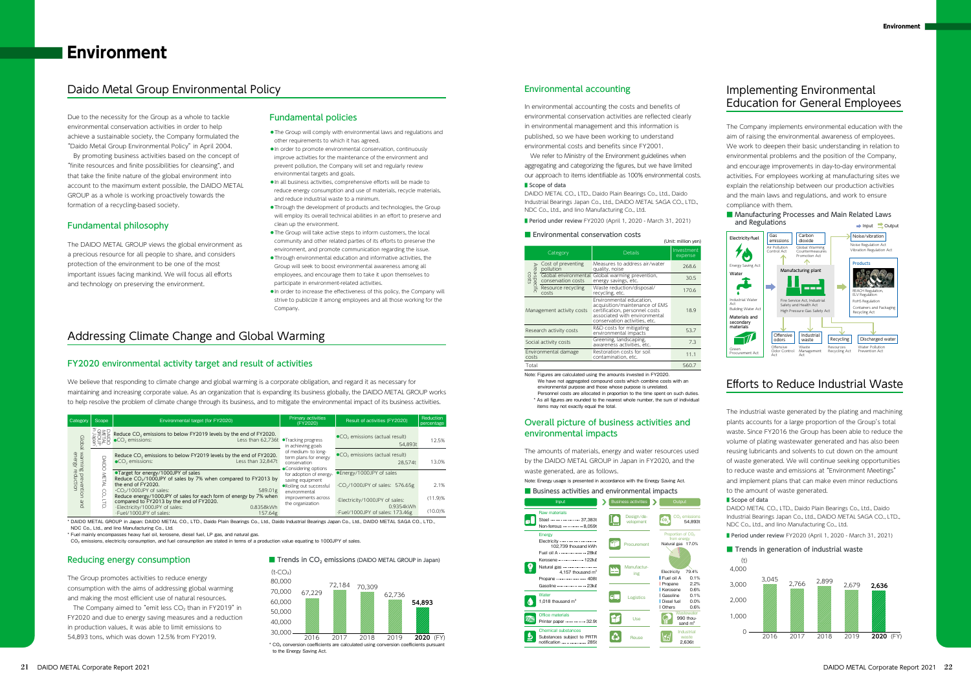DAIDO METAL GROUP in Japan: DAIDO METAL CO., LTD., Daido Plain Bearings Co., Ltd., Daido Industrial Bearings Japan Co., Ltd., DAIDO METAL SAGA CO., LTD. NDC Co., Ltd., and Iino Manufacturing Co., Ltd.

\* Fuel mainly encompasses heavy fuel oil, kerosene, diesel fuel, LP gas, and natural gas.

 $\overline{CO}_2$  emissions, electricity consumption, and fuel consumption are stated in terms of a production value equating to 1000JPY of sales.



| Category                                                       | Scope       | Environmental target (for FY2020)                                                                                                                                                                                                                                                                                                                                                    | Primary activities<br>(FY2020)                                                                                                                                                                                                                                         | Result of activities (FY2020)                                                  | Reduction<br>percentage |
|----------------------------------------------------------------|-------------|--------------------------------------------------------------------------------------------------------------------------------------------------------------------------------------------------------------------------------------------------------------------------------------------------------------------------------------------------------------------------------------|------------------------------------------------------------------------------------------------------------------------------------------------------------------------------------------------------------------------------------------------------------------------|--------------------------------------------------------------------------------|-------------------------|
| <b>Global</b><br>warming prevention<br>energy reduction<br>and | ∍ืด>⊓       | Reduce CO <sub>2</sub> emissions to below FY2019 levels by the end of FY2020.<br>Less than 62.736t<br>●CO <sub>2</sub> emissions:                                                                                                                                                                                                                                                    | •Tracking progress<br>in achieving goals<br>of medium- to long-<br>term plans for energy<br>conservation<br>•Considering options<br>for adoption of energy-<br>saving equipment<br>.Rolling out successful<br>environmental<br>improvements across<br>the organization | $\bullet$ CO <sub>2</sub> emissions (actual result)<br>54.893t                 | 12.5%                   |
|                                                                | Ū<br>⊒<br>ā | Reduce CO <sub>2</sub> emissions to below FY2019 levels by the end of FY2020.<br>Less than 32,847t<br>$\bullet$ CO <sub>2</sub> emissions:                                                                                                                                                                                                                                           |                                                                                                                                                                                                                                                                        | CO <sub>2</sub> emissions (actual result)<br>28.574t                           | 13.0%                   |
|                                                                |             | •Target for energy/1000JPY of sales<br>Reduce CO <sub>2</sub> /1000JPY of sales by 7% when compared to FY2013 by<br>the end of FY2020.<br>$-CO2/1000$ JPY of sales:<br>589.01g<br>Reduce energy/1000JPY of sales for each form of energy by 7% when<br>compared to FY2013 by the end of FY2020.<br>·Electricity/1000JPY of sales:<br>0.8358kWh<br>.Fuel/1000JPY of sales:<br>157.64g |                                                                                                                                                                                                                                                                        | •Energy/1000JPY of sales<br>$\cdot$ CO <sub>2</sub> /1000JPY of sales: 576.65g | 2.1%                    |
|                                                                |             |                                                                                                                                                                                                                                                                                                                                                                                      |                                                                                                                                                                                                                                                                        | ·Electricity/1000JPY of sales:<br>0.9354kWh<br>·Fuel/1000JPY of sales: 173.46g | (11.9)%<br>(10.0)%      |

The Company aimed to "emit less  $CO<sub>2</sub>$  than in FY2019" in FY2020 and due to energy saving measures and a reduction in production values, it was able to limit emissions to 54,893 tons, which was down 12.5% from FY2019.

 We refer to Ministry of the Environment guidelines when aggregating and categorizing the figures, but we have limited our approach to items identifiable as 100% environmental costs. ■ Scope of data

We have not aggregated compound costs which combine costs with an environmental purpose and those whose purpose is unrelated.

The DAIDO METAL GROUP views the global environment as a precious resource for all people to share, and considers protection of the environment to be one of the most important issues facing mankind. We will focus all efforts and technology on preserving the environment.

The Group promotes activities to reduce energy consumption with the aims of addressing global warming and making the most efficient use of natural resources.

#### Fundamental philosophy

#### Reducing energy consumption

## Daido Metal Group Environmental Policy

## Addressing Climate Change and Global Warming

### Fundamental policies

In environmental accounting the costs and benefits of environmental conservation activities are reflected clearly in environmental management and this information is published, so we have been working to understand environmental costs and benefits since FY2001.

Note: Figures are calculated using the amounts invested in FY2020.

Personnel costs are allocated in proportion to the time spent on such duties.

\* As all figures are rounded to the nearest whole number, the sum of individual items may not exactly equal the total.

(Unit: million yen)

■ Period under review FY2020 (April 1, 2020 - March 31, 2021)

#### ■ Environmental conservation costs

#### Environmental accounting

- ◦The Group will comply with environmental laws and regulations and other requirements to which it has agreed.
- ◦In order to promote environmental conservation, continuously improve activities for the maintenance of the environment and prevent pollution, the Company will set and regularly review environmental targets and goals.
- ◦In all business activities, comprehensive efforts will be made to reduce energy consumption and use of materials, recycle materials, and reduce industrial waste to a minimum.
- ◦Through the development of products and technologies, the Group will employ its overall technical abilities in an effort to preserve and clean up the environment.
- ◦The Group will take active steps to inform customers, the local community and other related parties of its efforts to preserve the environment, and promote communication regarding the issue.
- ◦Through environmental education and informative activities, the Group will seek to boost environmental awareness among all employees, and encourage them to take it upon themselves to participate in environment-related activities.
- ◦In order to increase the effectiveness of this policy, the Company will strive to publicize it among employees and all those working for the Company

We believe that responding to climate change and global warming is a corporate obligation, and regard it as necessary for maintaining and increasing corporate value. As an organization that is expanding its business globally, the DAIDO METAL GROUP works to help resolve the problem of climate change through its business, and to mitigate the environmental impact of its business activities.

#### FY2020 environmental activity target and result of activities

The Company implements environmental education with the aim of raising the environmental awareness of employees. We work to deepen their basic understanding in relation to environmental problems and the position of the Company, and encourage improvements in day-to-day environmental activities. For employees working at manufacturing sites we explain the relationship between our production activities and the main laws and regulations, and work to ensure compliance with them.

# Implementing Environmental Education for General Employees



|                             | Category                                   | <b>Details</b>                                                                                                                                                 | Investment<br>expense |  |  |  |
|-----------------------------|--------------------------------------------|----------------------------------------------------------------------------------------------------------------------------------------------------------------|-----------------------|--|--|--|
| Area-spei<br>Costs<br>cific | Cost of preventing<br>pollution            | Measures to address air/water<br>quality, noise                                                                                                                | 268.6                 |  |  |  |
|                             | Global environmental<br>conservation costs | Global warming prevention,<br>energy savings, etc.                                                                                                             | 30.5                  |  |  |  |
|                             | Resource recycling<br>costs                | Waste reduction/disposal/<br>recycling, etc.                                                                                                                   | 170.6                 |  |  |  |
|                             | Management activity costs                  | Environmental education.<br>acquisition/maintenance of EMS<br>certification, personnel costs<br>associated with environmental<br>conservation activities, etc. | 18.9                  |  |  |  |
|                             | Research activity costs                    | R&D costs for mitigating<br>environmental impacts                                                                                                              | 53.7                  |  |  |  |
|                             | Social activity costs                      | Greening, landscaping,<br>awareness activities, etc.                                                                                                           | 7.3                   |  |  |  |
| costs                       | Environmental damage                       | Restoration costs for soil<br>contamination, etc.                                                                                                              | 11.1                  |  |  |  |
| Total                       |                                            |                                                                                                                                                                | 560.7                 |  |  |  |

The amounts of materials, energy and water resources used by the DAIDO METAL GROUP in Japan in FY2020, and the waste generated, are as follows.



### Overall picture of business activities and environmental impacts

Note: Energy usage is presented in accordance with the Energy Saving Act.

#### ■ Business activities and environmental impacts

DAIDO METAL CO., LTD., Daido Plain Bearings Co., Ltd., Daido Industrial Bearings Japan Co., Ltd., DAIDO METAL SAGA CO., LTD., NDC Co., Ltd., and Iino Manufacturing Co., Ltd.

■ Period under review FY2020 (April 1, 2020 - March 31, 2021)



The industrial waste generated by the plating and machining plants accounts for a large proportion of the Group's total waste. Since FY2016 the Group has been able to reduce the volume of plating wastewater generated and has also been reusing lubricants and solvents to cut down on the amount of waste generated. We will continue seeking opportunities to reduce waste and emissions at "Environment Meetings" and implement plans that can make even minor reductions to the amount of waste generated.

■ Scope of data



# Efforts to Reduce Industrial Waste

Due to the necessity for the Group as a whole to tackle environmental conservation activities in order to help achieve a sustainable society, the Company formulated the "Daido Metal Group Environmental Policy"in April 2004.

 By promoting business activities based on the concept of "finite resources and finite possibilities for cleansing", and that take the finite nature of the global environment into account to the maximum extent possible, the DAIDO METAL GROUP as a whole is working proactively towards the formation of a recycling-based society.

DAIDO METAL CO., LTD., Daido Plain Bearings Co., Ltd., Daido Industrial Bearings Japan Co., Ltd., DAIDO METAL SAGA CO., LTD.,

NDC Co., Ltd., and Iino Manufacturing Co., Ltd.